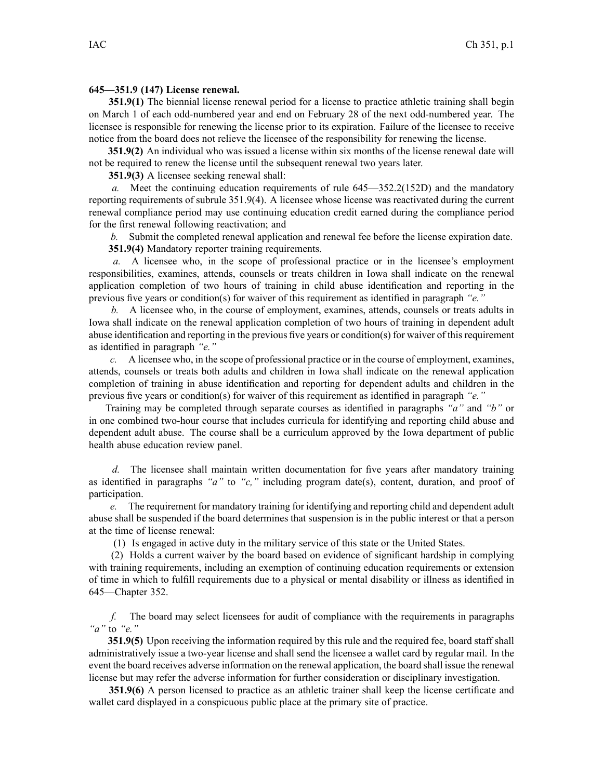## **645—351.9 (147) License renewal.**

**351.9(1)** The biennial license renewal period for <sup>a</sup> license to practice athletic training shall begin on March 1 of each odd-numbered year and end on February 28 of the next odd-numbered year. The licensee is responsible for renewing the license prior to its expiration. Failure of the licensee to receive notice from the board does not relieve the licensee of the responsibility for renewing the license.

**351.9(2)** An individual who was issued <sup>a</sup> license within six months of the license renewal date will not be required to renew the license until the subsequent renewal two years later.

**351.9(3)** A licensee seeking renewal shall:

*a.* Meet the continuing education requirements of rule 645—352.2(152D) and the mandatory reporting requirements of subrule 351.9(4). A licensee whose license was reactivated during the current renewal compliance period may use continuing education credit earned during the compliance period for the first renewal following reactivation; and

*b.* Submit the completed renewal application and renewal fee before the license expiration date. **351.9(4)** Mandatory reporter training requirements.

*a.* A licensee who, in the scope of professional practice or in the licensee's employment responsibilities, examines, attends, counsels or treats children in Iowa shall indicate on the renewal application completion of two hours of training in child abuse identification and reporting in the previous five years or condition(s) for waiver of this requirement as identified in paragraph *"e."*

*b.* A licensee who, in the course of employment, examines, attends, counsels or treats adults in Iowa shall indicate on the renewal application completion of two hours of training in dependent adult abuse identification and reporting in the previous five years or condition(s) for waiver of thisrequirement as identified in paragraph *"e."*

*c.* A licensee who, in the scope of professional practice or in the course of employment, examines, attends, counsels or treats both adults and children in Iowa shall indicate on the renewal application completion of training in abuse identification and reporting for dependent adults and children in the previous five years or condition(s) for waiver of this requirement as identified in paragraph *"e."*

Training may be completed through separate courses as identified in paragraphs *"a"* and *"b"* or in one combined two-hour course that includes curricula for identifying and reporting child abuse and dependent adult abuse. The course shall be <sup>a</sup> curriculum approved by the Iowa department of public health abuse education review panel.

*d.* The licensee shall maintain written documentation for five years after mandatory training as identified in paragraphs *"a"* to *"c,"* including program date(s), content, duration, and proof of participation.

*e.* The requirement for mandatory training for identifying and reporting child and dependent adult abuse shall be suspended if the board determines that suspension is in the public interest or that <sup>a</sup> person at the time of license renewal:

(1) Is engaged in active duty in the military service of this state or the United States.

(2) Holds <sup>a</sup> current waiver by the board based on evidence of significant hardship in complying with training requirements, including an exemption of continuing education requirements or extension of time in which to fulfill requirements due to <sup>a</sup> physical or mental disability or illness as identified in 645—Chapter 352.

*f.* The board may select licensees for audit of compliance with the requirements in paragraphs *"a"* to *"e."*

**351.9(5)** Upon receiving the information required by this rule and the required fee, board staff shall administratively issue <sup>a</sup> two-year license and shall send the licensee <sup>a</sup> wallet card by regular mail. In the event the board receives adverse information on the renewal application, the board shall issue the renewal license but may refer the adverse information for further consideration or disciplinary investigation.

**351.9(6)** A person licensed to practice as an athletic trainer shall keep the license certificate and wallet card displayed in <sup>a</sup> conspicuous public place at the primary site of practice.